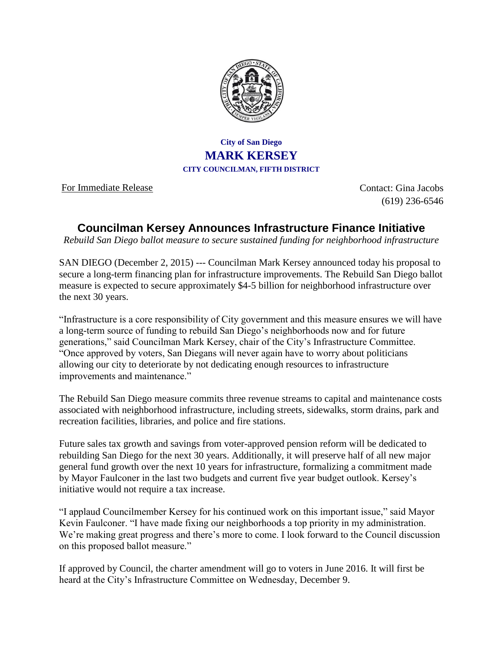

## **City of San Diego MARK KERSEY CITY COUNCILMAN, FIFTH DISTRICT**

For Immediate Release

 Contact: Gina Jacobs (619) 236-6546

## **Councilman Kersey Announces Infrastructure Finance Initiative**

*Rebuild San Diego ballot measure to secure sustained funding for neighborhood infrastructure*

SAN DIEGO (December 2, 2015) --- Councilman Mark Kersey announced today his proposal to secure a long-term financing plan for infrastructure improvements. The Rebuild San Diego ballot measure is expected to secure approximately \$4-5 billion for neighborhood infrastructure over the next 30 years.

"Infrastructure is a core responsibility of City government and this measure ensures we will have a long-term source of funding to rebuild San Diego's neighborhoods now and for future generations," said Councilman Mark Kersey, chair of the City's Infrastructure Committee. "Once approved by voters, San Diegans will never again have to worry about politicians allowing our city to deteriorate by not dedicating enough resources to infrastructure improvements and maintenance."

The Rebuild San Diego measure commits three revenue streams to capital and maintenance costs associated with neighborhood infrastructure, including streets, sidewalks, storm drains, park and recreation facilities, libraries, and police and fire stations.

Future sales tax growth and savings from voter-approved pension reform will be dedicated to rebuilding San Diego for the next 30 years. Additionally, it will preserve half of all new major general fund growth over the next 10 years for infrastructure, formalizing a commitment made by Mayor Faulconer in the last two budgets and current five year budget outlook. Kersey's initiative would not require a tax increase.

"I applaud Councilmember Kersey for his continued work on this important issue," said Mayor Kevin Faulconer. "I have made fixing our neighborhoods a top priority in my administration. We're making great progress and there's more to come. I look forward to the Council discussion on this proposed ballot measure."

If approved by Council, the charter amendment will go to voters in June 2016. It will first be heard at the City's Infrastructure Committee on Wednesday, December 9.